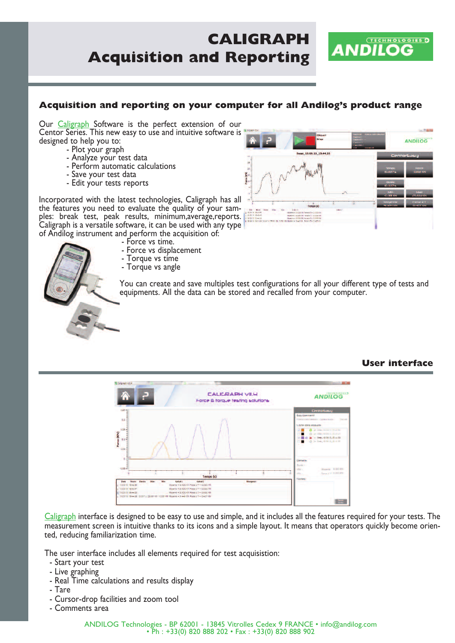# **CALIGRAPH Acquisition and Reporting**



Our **Caligraph** Software is the perfect extension of our Centor Series. This new easy to use and intuitive software is designed to help you to:

- Plot your graph
- Analyze your test data
- Perform automatic calculations
- Save your test data
- Edit your tests reports

Incorporated with the latest technologies, Caligraph has all the features you need to evaluate the quality of your sam ples: break test, peak results, minimum,average,reports. Caligraph is a versatile software, it can be used with any type of Andilog instrument and perform the acquisition of:

- Force vs time.

- Force vs displacement



- 
- Torque vs angle

You can create and save multiples test configurations for all your different type of tests and equipments. All the data can be stored and recalled from your computer.

## **User interface**



Caligraph interface is designed to be easy to use and simple, and it includes all the features required for your tests. The measurement screen is intuitive thanks to its icons and a simple layout. It means that operators quickly become oriented, reducing familiarization time.

The user interface includes all elements required for test acquisistion:

- Start your test
- Live graphing
- Real Time calculations and results display
- Tare
- Cursor-drop facilities and zoom tool
- Comments area



ANDILOG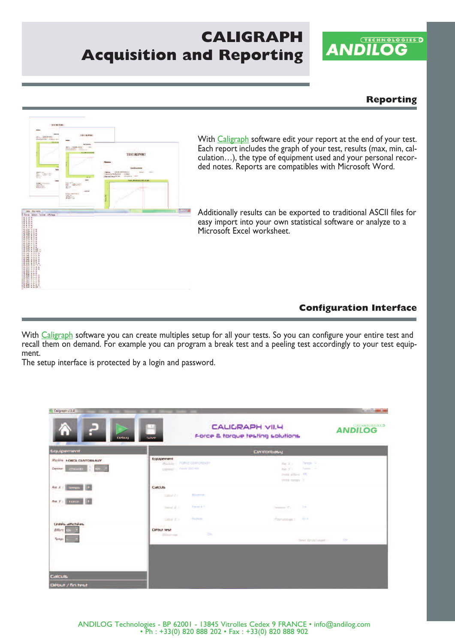# **CALIGRAPH Acquisition and Reporting**



## **Reporting**



With Caligraph software edit your report at the end of your test. Each report includes the graph of your test, results (max, min, calculation…), the type of equipment used and your personal recor ded notes. Reports are compatibles with Microsoft Word.

Additionally results can be exported to traditional ASCII files for easy import into your own statistical software or analyze to a Microsoft Excel worksheet.

## **Configuration Interface**

With Caligraph software you can create multiples setup for all your tests. So you can configure your entire test and recall them on demand. For example you can program a break test and a peeling test accordingly to your test equipment.

The setup interface is protected by a login and password.

| 2<br>6<br>Debug                                                                       | œ<br>Server                                                                 | <b>CALIGRAPH VII.4</b><br>Force & torque testing solutions                      | <b>CITERNOLOGIES D</b><br><b>ANDILOG</b> |
|---------------------------------------------------------------------------------------|-----------------------------------------------------------------------------|---------------------------------------------------------------------------------|------------------------------------------|
| Equipement                                                                            | CentorEasy                                                                  |                                                                                 |                                          |
| Mapleire FORCE CENTOREASY<br>Capteur examine KN<br>THE R. P. LEWIS CO., LANSING MICH. | Equipement<br><b>/Replace / FORCE CENTOREASY</b><br>Capterin : Force 250 KH | Temps -<br>Ree X v.<br>Ras V » Folce »<br>United articles. KN<br>Unital temps 1 |                                          |
| $Ans. X.2$ springs $+$                                                                | Calculs                                                                     |                                                                                 |                                          |
| Air Fr. Traine                                                                        | Calcul 1 7<br>Moyenne                                                       |                                                                                 |                                          |
|                                                                                       | Force & T<br>Gairal 2 :                                                     | $2 - 2$<br>Instant T.                                                           |                                          |
|                                                                                       | Rupfurre<br>Calcul 3.r.                                                     | Pourcentage r 10 %                                                              |                                          |
| Unités affichées<br>Effort                                                            | Début test<br>Circ<br>Dimorrage /                                           |                                                                                 |                                          |
| Temps                                                                                 |                                                                             | Our<br>Taren force/cauple :                                                     |                                          |
|                                                                                       |                                                                             |                                                                                 |                                          |
|                                                                                       |                                                                             |                                                                                 |                                          |
| <b>Calculs</b>                                                                        |                                                                             |                                                                                 |                                          |